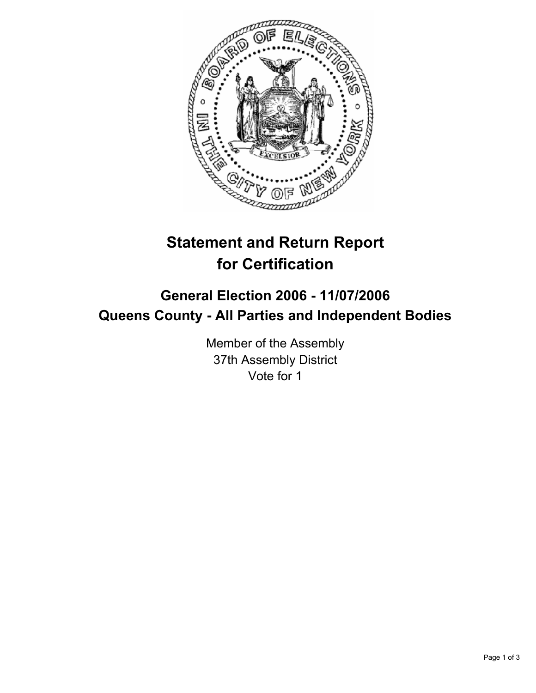

# **Statement and Return Report for Certification**

## **General Election 2006 - 11/07/2006 Queens County - All Parties and Independent Bodies**

Member of the Assembly 37th Assembly District Vote for 1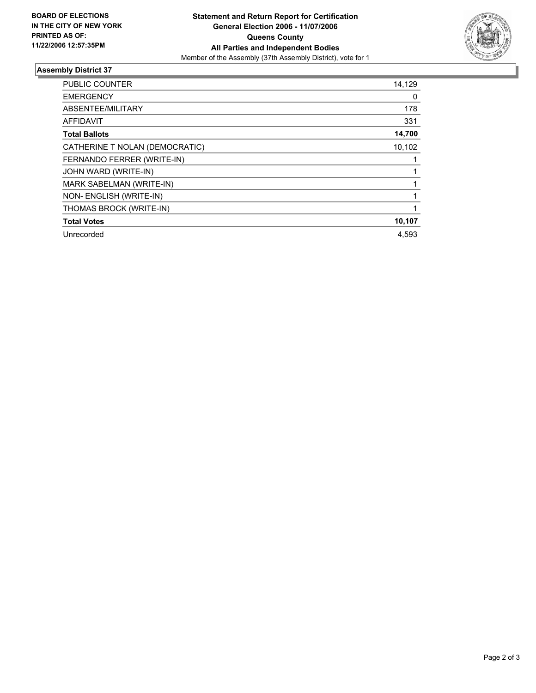

### **Assembly District 37**

| PUBLIC COUNTER                 | 14,129 |
|--------------------------------|--------|
| <b>EMERGENCY</b>               | 0      |
| ABSENTEE/MILITARY              | 178    |
| <b>AFFIDAVIT</b>               | 331    |
| <b>Total Ballots</b>           | 14,700 |
| CATHERINE T NOLAN (DEMOCRATIC) | 10,102 |
| FERNANDO FERRER (WRITE-IN)     |        |
| JOHN WARD (WRITE-IN)           |        |
| MARK SABELMAN (WRITE-IN)       |        |
| NON- ENGLISH (WRITE-IN)        |        |
| THOMAS BROCK (WRITE-IN)        |        |
| <b>Total Votes</b>             | 10,107 |
| Unrecorded                     | 4,593  |